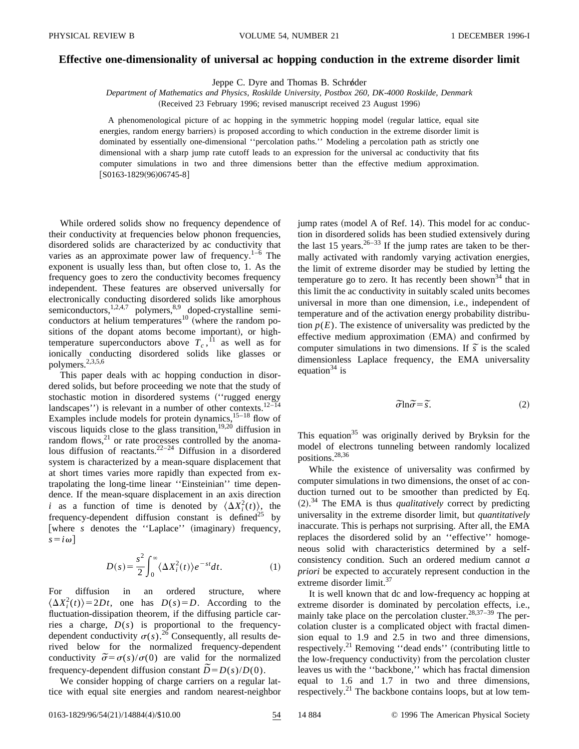$(2)$ 

## **Effective one-dimensionality of universal ac hopping conduction in the extreme disorder limit**

Jeppe C. Dyre and Thomas B. Schrøder

*Department of Mathematics and Physics, Roskilde University, Postbox 260, DK-4000 Roskilde, Denmark* (Received 23 February 1996; revised manuscript received 23 August 1996)

A phenomenological picture of ac hopping in the symmetric hopping model (regular lattice, equal site energies, random energy barriers) is proposed according to which conduction in the extreme disorder limit is dominated by essentially one-dimensional ''percolation paths.'' Modeling a percolation path as strictly one dimensional with a sharp jump rate cutoff leads to an expression for the universal ac conductivity that fits computer simulations in two and three dimensions better than the effective medium approximation.  $[$ S0163-1829(96)06745-8 $]$ 

While ordered solids show no frequency dependence of their conductivity at frequencies below phonon frequencies, disordered solids are characterized by ac conductivity that varies as an approximate power law of frequency.<sup>1–6</sup> The exponent is usually less than, but often close to, 1. As the frequency goes to zero the conductivity becomes frequency independent. These features are observed universally for electronically conducting disordered solids like amorphous semiconductors, $1,2,4,7$  polymers, $8,9$  doped-crystalline semiconductors at helium temperatures<sup>10</sup> (where the random positions of the dopant atoms become important), or hightemperature superconductors above  $T_c$ ,  $\overline{1}$  as well as for ionically conducting disordered solids like glasses or polymers.2,3,5,6

This paper deals with ac hopping conduction in disordered solids, but before proceeding we note that the study of stochastic motion in disordered systems ("rugged energy landscapes'') is relevant in a number of other contexts. $12-14$ Examples include models for protein dynamics,<sup>15-18</sup> flow of viscous liquids close to the glass transition,<sup>19,20</sup> diffusion in random  $f$ <sub>1</sub>  $f$ <sub>2</sub><sup>21</sup> or rate processes controlled by the anomalous diffusion of reactants.<sup>22–24</sup> Diffusion in a disordered system is characterized by a mean-square displacement that at short times varies more rapidly than expected from extrapolating the long-time linear ''Einsteinian'' time dependence. If the mean-square displacement in an axis direction *i* as a function of time is denoted by  $\langle \Delta X_i^2(t) \rangle$ , the frequency-dependent diffusion constant is defined<sup>25</sup> by [where *s* denotes the "Laplace" (imaginary) frequency,  $s = i \omega$ 

$$
D(s) = \frac{s^2}{2} \int_0^\infty \langle \Delta X_i^2(t) \rangle e^{-st} dt.
$$
 (1)

For diffusion in an ordered structure, where  $\langle \Delta X_i^2(t) \rangle = 2Dt$ , one has  $D(s) = D$ . According to the fluctuation-dissipation theorem, if the diffusing particle carries a charge, *D*(*s*) is proportional to the frequencydependent conductivity  $\sigma(s)$ .<sup>26</sup> Consequently, all results derived below for the normalized frequency-dependent rived below for the normalized frequency-dependent<br>conductivity  $\tilde{\sigma} = \sigma(s)/\sigma(0)$  are valid for the normalized frequency-dependent diffusion constant  $\overline{D} = D(s)/D(0)$ .

We consider hopping of charge carriers on a regular lattice with equal site energies and random nearest-neighbor

mally activated with randomly varying activation energies, the limit of extreme disorder may be studied by letting the temperature go to zero. It has recently been shown<sup>34</sup> that in this limit the ac conductivity in suitably scaled units becomes universal in more than one dimension, i.e., independent of temperature and of the activation energy probability distribution  $p(E)$ . The existence of universality was predicted by the effective medium approximation (EMA) and confirmed by eriective meanum approximation (EMA) and committed by computer simulations in two dimensions. If  $\tilde{s}$  is the scaled dimensionless Laplace frequency, the EMA universality equation<sup>34</sup> is  $\tilde{\sigma}$ ln $\tilde{\sigma} = \tilde{s}$ 

jump rates (model A of Ref. 14). This model for ac conduction in disordered solids has been studied extensively during the last 15 years.<sup>26–33</sup> If the jump rates are taken to be ther-

This equation<sup>35</sup> was originally derived by Bryksin for the model of electrons tunneling between randomly localized positions.28,36

While the existence of universality was confirmed by computer simulations in two dimensions, the onset of ac conduction turned out to be smoother than predicted by Eq.  $(2).$ <sup>34</sup> The EMA is thus *qualitatively* correct by predicting universality in the extreme disorder limit, but *quantitatively* inaccurate. This is perhaps not surprising. After all, the EMA replaces the disordered solid by an ''effective'' homogeneous solid with characteristics determined by a selfconsistency condition. Such an ordered medium cannot *a priori* be expected to accurately represent conduction in the extreme disorder limit.<sup>37</sup>

It is well known that dc and low-frequency ac hopping at extreme disorder is dominated by percolation effects, i.e., mainly take place on the percolation cluster.<sup>28,37-39</sup> The percolation cluster is a complicated object with fractal dimension equal to 1.9 and 2.5 in two and three dimensions, respectively.<sup>21</sup> Removing "dead ends" (contributing little to the low-frequency conductivity) from the percolation cluster leaves us with the ''backbone,'' which has fractal dimension equal to 1.6 and 1.7 in two and three dimensions, respectively.<sup>21</sup> The backbone contains loops, but at low tem-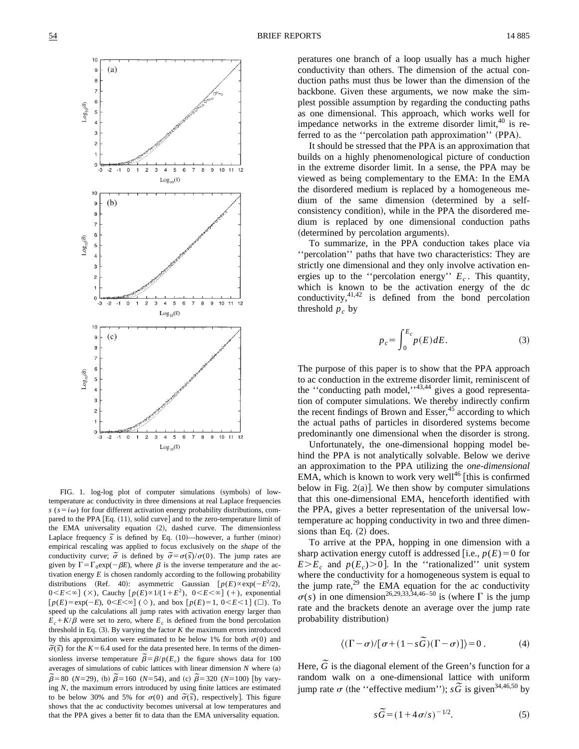

FIG. 1. log-log plot of computer simulations (symbols) of lowtemperature ac conductivity in three dimensions at real Laplace frequencies  $s$  ( $s = i\omega$ ) for four different activation energy probability distributions, compared to the PPA  $[Eq. (11),$  solid curve] and to the zero-temperature limit of the EMA universality equation  $(2)$ , dashed curve. The dimensionless Laplace frequency  $\tilde{s}$  is defined by Eq.  $(10)$ —however, a further  $(\text{minor})$ <br>Laplace frequency  $\tilde{s}$  is defined by Eq.  $(10)$ —however, a further  $(\text{minor})$ empirical rescaling was applied to focus exclusively on the *shape* of the empirical rescaling was applied to focus exclusively on the *shape* of the conductivity curve;  $\tilde{\sigma}$  is defined by  $\tilde{\sigma} = \sigma(\tilde{s})/\sigma(0)$ . The jump rates are given by  $\Gamma = \Gamma_0 \exp(-\beta E)$ , where  $\beta$  is the inverse temperature and the activation energy *E* is chosen randomly according to the following probability distributions (Ref. 40): asymmetric Gaussian  $[p(E) \propto \exp(-E^2/2)$ ,  $0 \leq E \leq \infty$ ] ( $\times$ ), Cauchy  $[p(E) \propto 1/(1+E^2), 0 \leq E \leq \infty$ ] (+), exponential  $[p(E)=\exp(-E), 0\leq E\leq \infty]$  ( $\diamond$ ), and box  $[p(E)=1, 0\leq E\leq 1]$  ( $\square$ ). To speed up the calculations all jump rates with activation energy larger than  $E_c + K/\beta$  were set to zero, where  $E_c$  is defined from the bond percolation threshold in Eq.  $(3)$ . By varying the factor *K* the maximum errors introduced by this approximation were estimated to be below 1% for both  $\sigma(0)$  and by this approximation were estimated to be below 1% for both  $\sigma(0)$  and  $\tilde{\sigma}(\tilde{s})$  for the *K* = 6.4 used for the data presented here. In terms of the dimen- $\sigma(s)$  for the  $\kappa$  = 6.4 used for the data presented here. In terms of the dimensionless inverse temperature  $\tilde{\beta} = \beta/p(E_c)$  the figure shows data for 100 averages of simulations of cubic lattices with linear dimension  $N$  where  $(a)$ betages of simulations of cubic fattices with finear dimension *N* where (a)  $\tilde{\beta}$  = 80 (*N*=29), (b)  $\tilde{\beta}$  = 160 (*N*=54), and (c)  $\tilde{\beta}$  = 320 (*N*=100) [by varying *N*, the maximum errors introduced by using finite lattices are estimated to be below 30% and 5% for  $\sigma(0)$  and  $\tilde{\sigma}(\tilde{s})$ , respectively]. This figure to be below 30% and 5% for  $\sigma(0)$  and  $\tilde{\sigma}(\tilde{s})$ , respectively]. shows that the ac conductivity becomes universal at low temperatures and that the PPA gives a better fit to data than the EMA universality equation.

peratures one branch of a loop usually has a much higher conductivity than others. The dimension of the actual conduction paths must thus be lower than the dimension of the backbone. Given these arguments, we now make the simplest possible assumption by regarding the conducting paths as one dimensional. This approach, which works well for impedance networks in the extreme disorder limit, $40$  is referred to as the "percolation path approximation" (PPA).

It should be stressed that the PPA is an approximation that builds on a highly phenomenological picture of conduction in the extreme disorder limit. In a sense, the PPA may be viewed as being complementary to the EMA: In the EMA the disordered medium is replaced by a homogeneous medium of the same dimension (determined by a selfconsistency condition), while in the PPA the disordered medium is replaced by one dimensional conduction paths (determined by percolation arguments).

To summarize, in the PPA conduction takes place via ''percolation'' paths that have two characteristics: They are strictly one dimensional and they only involve activation energies up to the "percolation energy"  $E_c$ . This quantity, which is known to be the activation energy of the dc conductivity, $4^{1,42}$  is defined from the bond percolation threshold  $p_c$  by

$$
p_c = \int_0^{E_c} p(E)dE.
$$
 (3)

The purpose of this paper is to show that the PPA approach to ac conduction in the extreme disorder limit, reminiscent of to a conduction in the cateline disorder limit, reliminscent of the "conducting path model,"<sup>43,44</sup> gives a good representation of computer simulations. We thereby indirectly confirm the recent findings of Brown and Esser,  $45$  according to which the actual paths of particles in disordered systems become predominantly one dimensional when the disorder is strong.

Unfortunately, the one-dimensional hopping model behind the PPA is not analytically solvable. Below we derive an approximation to the PPA utilizing the *one-dimensional* EMA, which is known to work very well<sup>46</sup> [this is confirmed below in Fig.  $2(a)$ ]. We then show by computer simulations that this one-dimensional EMA, henceforth identified with the PPA, gives a better representation of the universal lowtemperature ac hopping conductivity in two and three dimensions than Eq.  $(2)$  does.

To arrive at the PPA, hopping in one dimension with a sharp activation energy cutoff is addressed [i.e.,  $p(E)=0$  for  $E>E_c$  and  $p(E_c)$  > 0]. In the "rationalized" unit system where the conductivity for a homogeneous system is equal to the jump rate, $29$  the EMA equation for the ac conductivity  $\sigma(s)$  in one dimension<sup>26,29,33,34,46–50</sup> is (where  $\Gamma$  is the jump rate and the brackets denote an average over the jump rate probability distribution)

$$
\langle (\Gamma - \sigma) / [\sigma + (1 - s\widetilde{G})(\Gamma - \sigma)] \rangle = 0.
$$
 (4)

Here,  $\tilde{G}$  is the diagonal element of the Green's function for a random walk on a one-dimensional lattice with uniform jump rate  $\sigma$  (the "effective medium"); *s* $\widetilde{G}$  is given<sup>34,46,50</sup> by

$$
s\widetilde{G} = (1 + 4\sigma/s)^{-1/2}.
$$
 (5)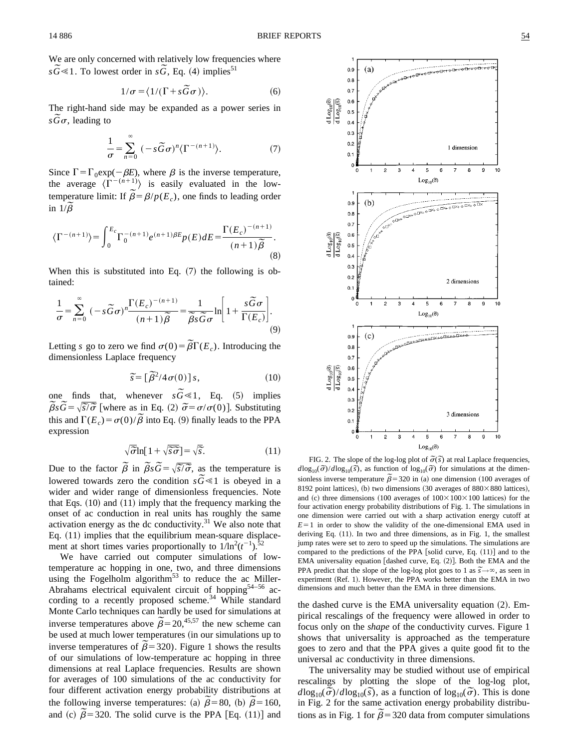We are only concerned with relatively low frequencies where  $s\tilde{G} \le 1$ . To lowest order in  $s\tilde{G}$ , Eq. (4) implies<sup>51</sup>

$$
1/\sigma = \langle 1/(\Gamma + s\widetilde{G}\sigma) \rangle. \tag{6}
$$

The right-hand side may be expanded as a power series in  $sG\sigma$ , leading to

$$
\frac{1}{\sigma} = \sum_{n=0}^{\infty} \left( -s \widetilde{G} \sigma \right)^n \langle \Gamma^{-(n+1)} \rangle. \tag{7}
$$

Since  $\Gamma = \Gamma_0 \exp(-\beta E)$ , where  $\beta$  is the inverse temperature, the average  $\langle \Gamma^{-(n+1)} \rangle$  is easily evaluated in the lowthe average  $\langle 1 \rangle^{\text{(m)}}$  is easily evaluated in the low-<br>temperature limit: If  $\tilde{\beta} = \beta / p(E_c)$ , one finds to leading order temper<br>in 1/*β* 

$$
\langle \Gamma^{-(n+1)} \rangle = \int_0^{E_c} \Gamma_0^{-(n+1)} e^{(n+1)\beta E} p(E) dE = \frac{\Gamma(E_c)^{-(n+1)}}{(n+1)\tilde{\beta}}.
$$
\n(8)

When this is substituted into Eq.  $(7)$  the following is obtained:

$$
\frac{1}{\sigma} = \sum_{n=0}^{\infty} \left( -s\widetilde{G}\sigma \right)^n \frac{\Gamma(E_c)^{-(n+1)}}{(n+1)\widetilde{\beta}} = \frac{1}{\widetilde{\beta}s\widetilde{G}\sigma} \ln \left[ 1 + \frac{s\widetilde{G}\sigma}{\Gamma(E_c)} \right].
$$
\n(9)

Letting *s* go to zero we find  $\sigma(0) = \widetilde{\beta} \Gamma(E_c)$ . Introducing the dimensionless Laplace frequency

$$
\widetilde{s} = \left[ \widetilde{\beta}^2 / 4 \sigma(0) \right] s,\tag{10}
$$

one finds that, whenever  $s\tilde{G} \ll 1$ , Eq. (5) implies one finds that, whenever  $sG \ll 1$ , Eq. (5) implies<br> $\tilde{\beta}s\tilde{G} = \sqrt{\tilde{s}/\tilde{\sigma}}$  [where as in Eq. (2)  $\tilde{\sigma} = \sigma/\sigma(0)$ ]. Substituting  $\beta sG = \sqrt{s/\sigma}$  [where as in Eq. (2)  $\sigma = \sigma/\sigma(0)$ ]. Substituting<br>this and  $\Gamma(E_c) = \sigma(0)/\overline{\beta}$  into Eq. (9) finally leads to the PPA expression

$$
\sqrt{\tilde{\sigma}} \ln[1 + \sqrt{\tilde{s}\tilde{\sigma}}] = \sqrt{\tilde{s}}.\tag{11}
$$

Due to the factor  $\overline{\beta}$  in  $\overline{\beta} s\overline{G} = \sqrt{\overline{s}/\overline{\sigma}}$ , as the temperature is lowered towards zero the condition  $s\bar{G} \ll 1$  is obeyed in a wider and wider range of dimensionless frequencies. Note that Eqs.  $(10)$  and  $(11)$  imply that the frequency marking the onset of ac conduction in real units has roughly the same activation energy as the dc conductivity.<sup>31</sup> We also note that Eq.  $(11)$  implies that the equilibrium mean-square displacement at short times varies proportionally to  $1/\ln^2(t^{-1})$ .<sup>52</sup>

We have carried out computer simulations of lowtemperature ac hopping in one, two, and three dimensions using the Fogelholm algorithm $53$  to reduce the ac Miller-Abrahams electrical equivalent circuit of hopping $54-56$  according to a recently proposed scheme.<sup>34</sup> While standard Monte Carlo techniques can hardly be used for simulations at Monte Carlo techniques can hardly be used for simulations at inverse temperatures above  $\tilde{\beta} = 20,45,57$  the new scheme can be used at much lower temperatures (in our simulations up to be used at much lower temperatures (in our simulations up to inverse temperatures of  $\tilde{\beta}$  = 320). Figure 1 shows the results of our simulations of low-temperature ac hopping in three dimensions at real Laplace frequencies. Results are shown for averages of 100 simulations of the ac conductivity for four different activation energy probability distributions at four different activation energy probability distributions at the following inverse temperatures: (a)  $\tilde{\beta}$  = 80, (b)  $\tilde{\beta}$  = 160, the following inverse temperatures: (a)  $\beta$ =80, (b)  $\beta$ =160, and (c)  $\tilde{\beta}$ =320. The solid curve is the PPA [Eq. (11)] and





FIG. 2. The slope of the log-log plot of  $\tilde{\sigma}(\tilde{s})$  at real Laplace frequencies, *d* $log_{10}(\vec{\sigma})/dlog_{10}(\vec{s})$ , as function of  $log_{10}(\vec{\sigma})$  for simulations at the dimen $a \log_{10}(\sigma) / a \log_{10}(s)$ , as function of  $\log_{10}(\sigma)$  for simulations at the dimensionless inverse temperature  $\tilde{\beta} = 320$  in (a) one dimension (100 averages of 8192 point lattices), (b) two dimensions  $(30 \text{ averages of } 880 \times 880 \text{ lattices}),$ and (c) three dimensions (100 averages of  $100 \times 100 \times 100$  lattices) for the four activation energy probability distributions of Fig. 1. The simulations in one dimension were carried out with a sharp activation energy cutoff at  $E=1$  in order to show the validity of the one-dimensional EMA used in deriving Eq.  $(11)$ . In two and three dimensions, as in Fig. 1, the smallest jump rates were set to zero to speed up the simulations. The simulations are compared to the predictions of the PPA [solid curve, Eq.  $(11)$ ] and to the EMA universality equation [dashed curve, Eq. (2)]. Both the EMA and the **EMA** universantly equation [dashed curve, Eq. ( $\angle$ )]. Both the EMA and the PPA predict that the slope of the log-log plot goes to 1 as  $\tilde{s} \rightarrow \infty$ , as seen in experiment (Ref. 1). However, the PPA works better than the EMA in two dimensions and much better than the EMA in three dimensions.

the dashed curve is the EMA universality equation  $(2)$ . Empirical rescalings of the frequency were allowed in order to focus only on the *shape* of the conductivity curves. Figure 1 shows that universality is approached as the temperature goes to zero and that the PPA gives a quite good fit to the universal ac conductivity in three dimensions.

The universality may be studied without use of empirical rescalings by plotting the slope of the log-log plot, rescalings by plotting the slope of the log-log plot,<br> $dlog_{10}(\vec{\sigma})/dlog_{10}(\vec{s})$ , as a function of  $log_{10}(\vec{\sigma})$ . This is done in Fig. 2 for the same activation energy probability distribuin Fig. 2 for the same activation energy probability distributions as in Fig. 1 for  $\widetilde{\beta}$  = 320 data from computer simulations